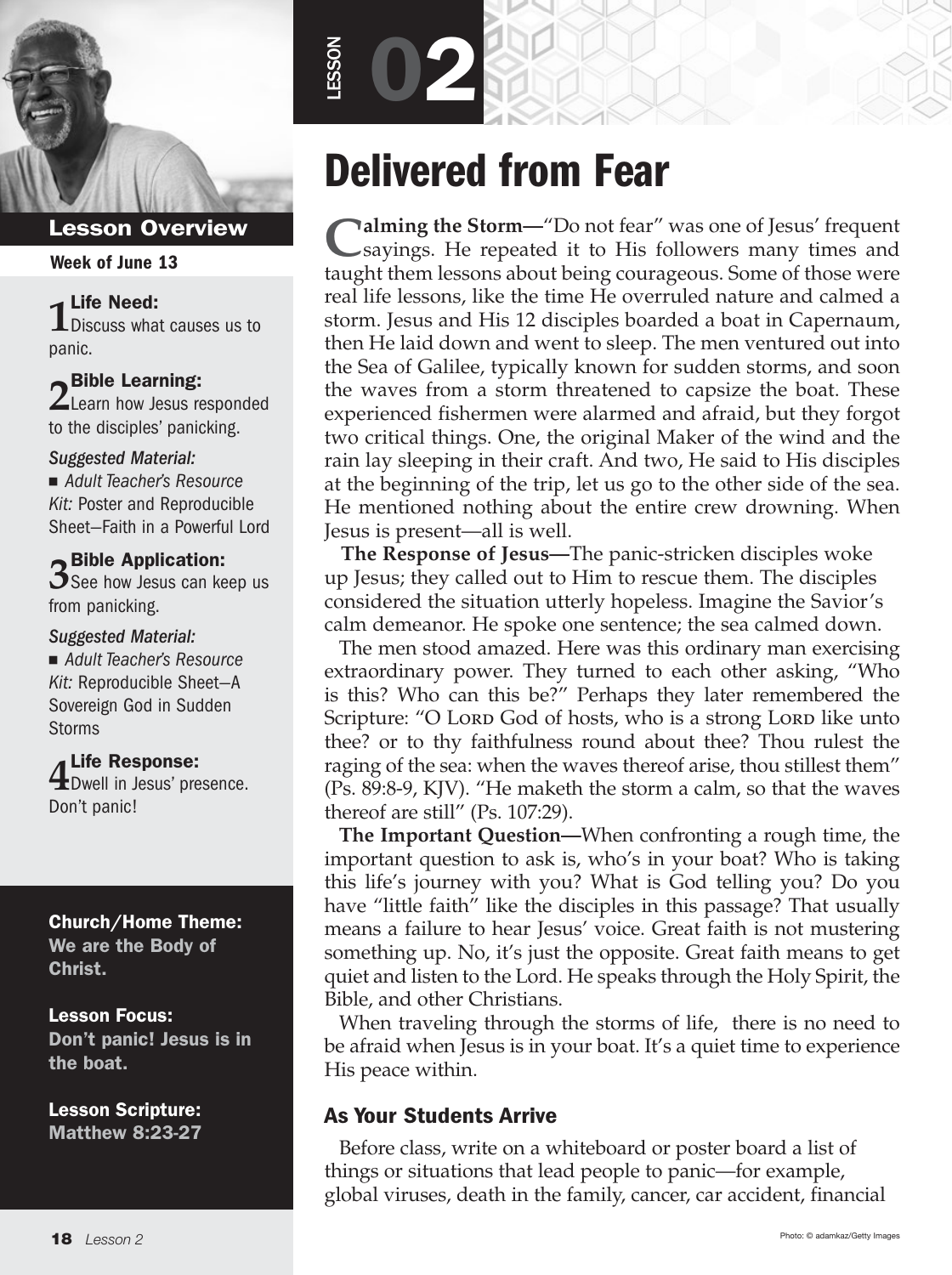

#### Week of June 13

# **1** Life Need:

**L** Discuss what causes us to panic.

**2** Bible Learning: **Z** Learn how Jesus responded to the disciples' panicking.

#### *Suggested Material:*

■ Adult Teacher's Resource *Kit:* Poster and Reproducible Sheet—Faith in a Powerful Lord

**3 Bible Application:**<br>**3** See how Jesus can keep us from panicking.

#### *Suggested Material:*

■ Adult Teacher's Resource *Kit:* Reproducible Sheet—A Sovereign God in Sudden Storms

**4** Life Response:<br>**4** Dwell in Jesus' presence. Don't panic!

#### Church/Home Theme: We are the Body of Christ.

Lesson Focus: Don't panic! Jesus is in the boat.

Lesson Scripture: Matthew 8:23-27

# Delivered from Fear

LESSON

02

**Calming the Storm—"**Do not fear" was one of Jesus' frequent sayings. He repeated it to His followers many times and taught them lessons about being courageous. Some of those were real life lessons, like the time He overruled nature and calmed a storm. Jesus and His 12 disciples boarded a boat in Capernaum, then He laid down and went to sleep. The men ventured out into the Sea of Galilee, typically known for sudden storms, and soon the waves from a storm threatened to capsize the boat. These experienced fishermen were alarmed and afraid, but they forgot two critical things. One, the original Maker of the wind and the rain lay sleeping in their craft. And two, He said to His disciples at the beginning of the trip, let us go to the other side of the sea. He mentioned nothing about the entire crew drowning. When Jesus is present—all is well.

 **The Response of Jesus—**The panic-stricken disciples woke up Jesus; they called out to Him to rescue them. The disciples considered the situation utterly hopeless. Imagine the Savior's calm demeanor. He spoke one sentence; the sea calmed down.

The men stood amazed. Here was this ordinary man exercising extraordinary power. They turned to each other asking, "Who is this? Who can this be?" Perhaps they later remembered the Scripture: "O Lord God of hosts, who is a strong Lord like unto thee? or to thy faithfulness round about thee? Thou rulest the raging of the sea: when the waves thereof arise, thou stillest them" (Ps. 89:8-9, KJV). "He maketh the storm a calm, so that the waves thereof are still" (Ps. 107:29).

**The Important Question—**When confronting a rough time, the important question to ask is, who's in your boat? Who is taking this life's journey with you? What is God telling you? Do you have "little faith" like the disciples in this passage? That usually means a failure to hear Jesus' voice. Great faith is not mustering something up. No, it's just the opposite. Great faith means to get quiet and listen to the Lord. He speaks through the Holy Spirit, the Bible, and other Christians.

When traveling through the storms of life, there is no need to be afraid when Jesus is in your boat. It's a quiet time to experience His peace within.

# As Your Students Arrive

Before class, write on a whiteboard or poster board a list of things or situations that lead people to panic—for example, global viruses, death in the family, cancer, car accident, financial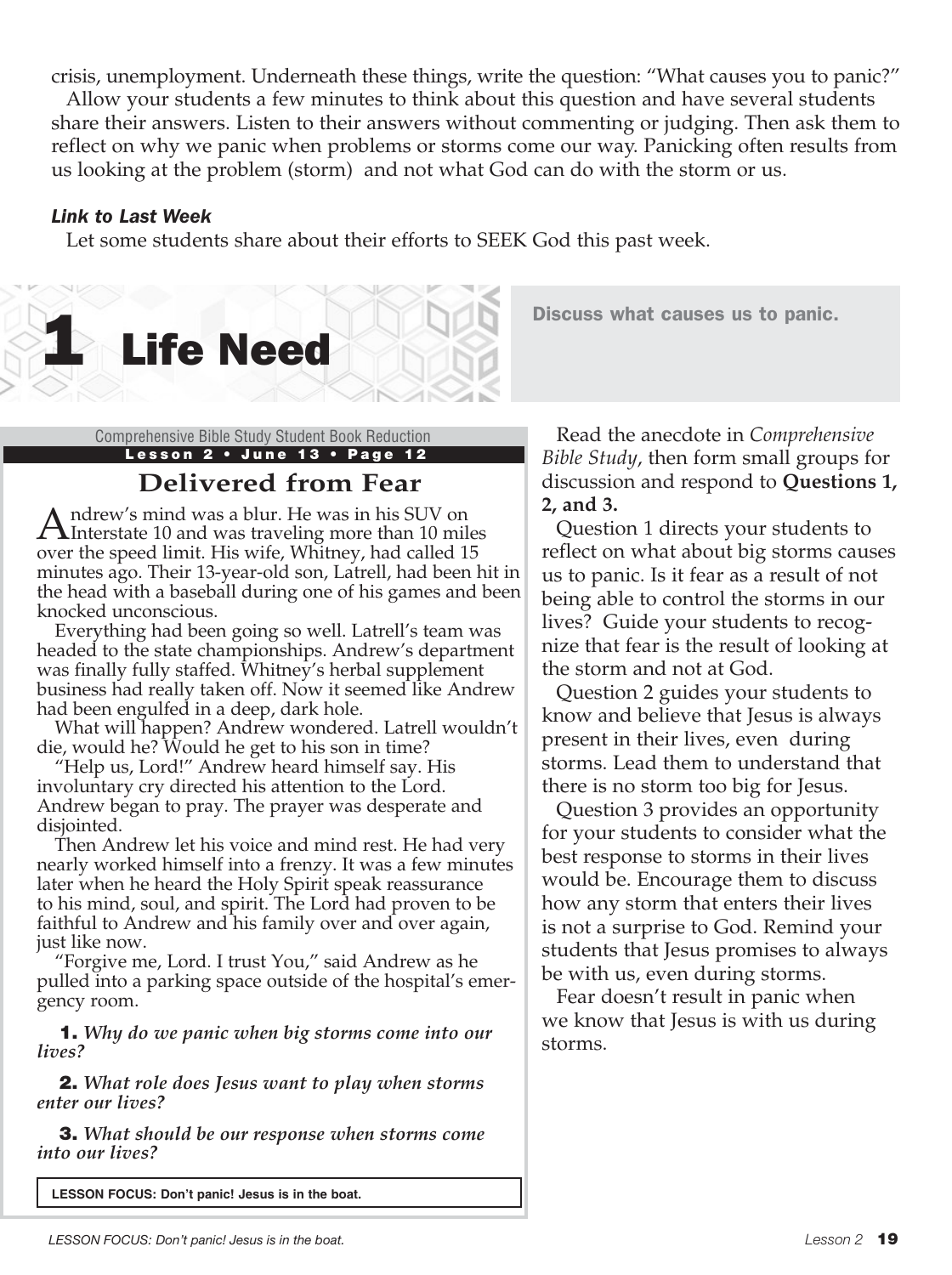crisis, unemployment. Underneath these things, write the question: "What causes you to panic?"

Allow your students a few minutes to think about this question and have several students share their answers. Listen to their answers without commenting or judging. Then ask them to reflect on why we panic when problems or storms come our way. Panicking often results from us looking at the problem (storm) and not what God can do with the storm or us.

#### *Link to Last Week*

Let some students share about their efforts to SEEK God this past week.



Discuss what causes us to panic.

Lesson 2 · June 13 · Page 12

# **Delivered from Fear**

Andrew's mind was a blur. He was in his SUV on<br>Interstate 10 and was traveling more than 10 miles over the speed limit. His wife, Whitney, had called 15 minutes ago. Their 13-year-old son, Latrell, had been hit in the head with a baseball during one of his games and been knocked unconscious.

Everything had been going so well. Latrell's team was headed to the state championships. Andrew's department was finally fully staffed. Whitney's herbal supplement business had really taken off. Now it seemed like Andrew had been engulfed in a deep, dark hole.

What will happen? Andrew wondered. Latrell wouldn't die, would he? Would he get to his son in time?

"Help us, Lord!" Andrew heard himself say. His involuntary cry directed his attention to the Lord. Andrew began to pray. The prayer was desperate and disjointed.

Then Andrew let his voice and mind rest. He had very nearly worked himself into a frenzy. It was a few minutes later when he heard the Holy Spirit speak reassurance to his mind, soul, and spirit. The Lord had proven to be faithful to Andrew and his family over and over again, just like now.

"Forgive me, Lord. I trust You," said Andrew as he pulled into a parking space outside of the hospital's emergency room.

1. *Why do we panic when big storms come into our lives?*

2. *What role does Jesus want to play when storms enter our lives?*

3. *What should be our response when storms come into our lives?*

**LESSON FOCUS: Don't panic! Jesus is in the boat.** 

Comprehensive Bible Study Student Book Reduction Read the anecdote in *Comprehensive Bible Study*, then form small groups for discussion and respond to **Questions 1, 2, and 3.**

> Question 1 directs your students to reflect on what about big storms causes us to panic. Is it fear as a result of not being able to control the storms in our lives? Guide your students to recognize that fear is the result of looking at the storm and not at God.

Question 2 guides your students to know and believe that Jesus is always present in their lives, even during storms. Lead them to understand that there is no storm too big for Jesus.

Question 3 provides an opportunity for your students to consider what the best response to storms in their lives would be. Encourage them to discuss how any storm that enters their lives is not a surprise to God. Remind your students that Jesus promises to always be with us, even during storms.

Fear doesn't result in panic when we know that Jesus is with us during storms.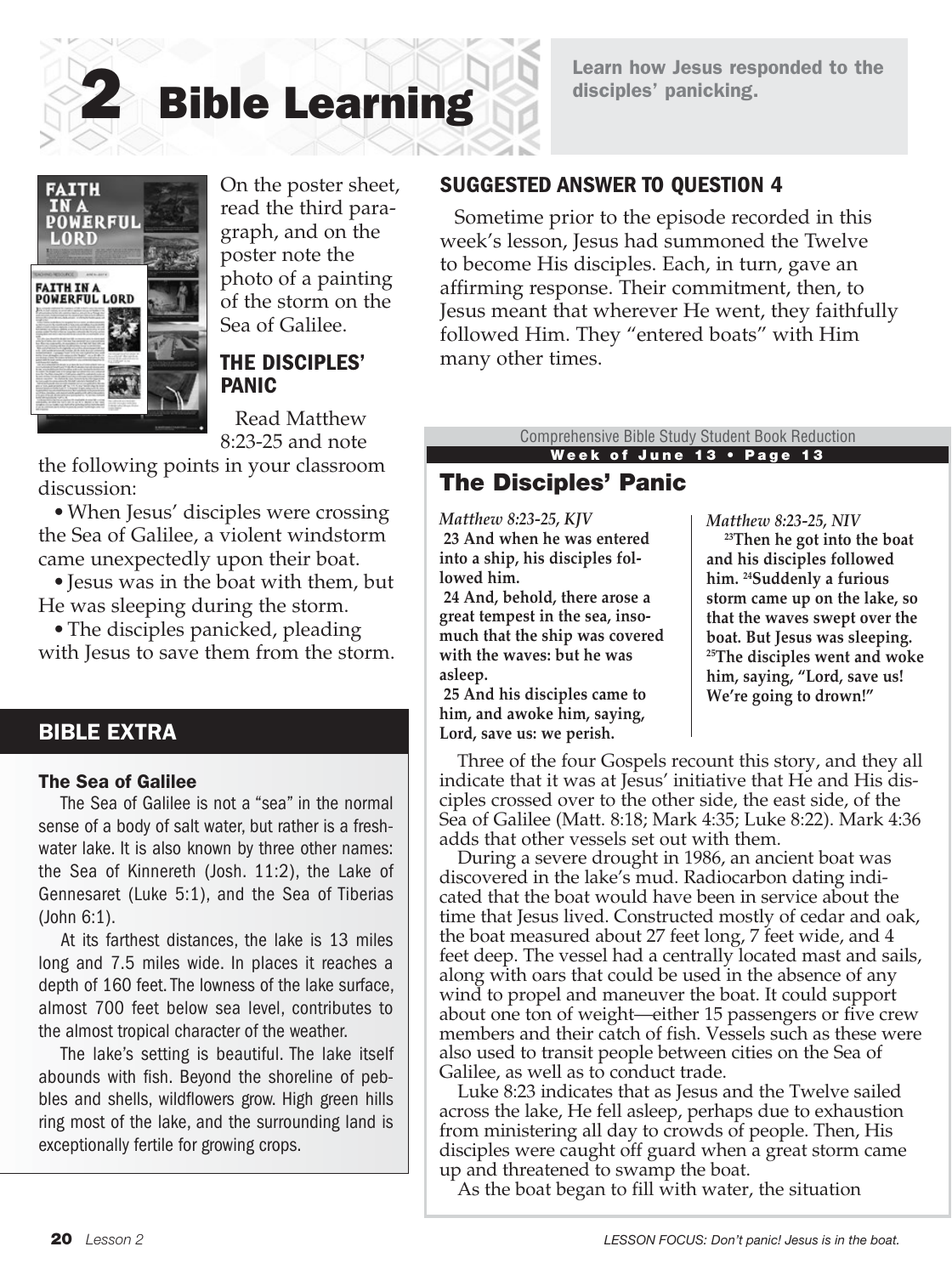# Learn how Jesus responded to the disciples' panicking.



On the poster sheet, read the third paragraph, and on the poster note the photo of a painting of the storm on the Sea of Galilee.

2 Bible Learning

#### THE DISCIPLES' PANIC

Read Matthew 8:23-25 and note

the following points in your classroom discussion:

• When Jesus' disciples were crossing the Sea of Galilee, a violent windstorm came unexpectedly upon their boat.

•Jesus was in the boat with them, but He was sleeping during the storm.

• The disciples panicked, pleading with Jesus to save them from the storm.

#### BIBLE EXTRA

#### The Sea of Galilee

The Sea of Galilee is not a "sea" in the normal sense of a body of salt water, but rather is a freshwater lake. It is also known by three other names: the Sea of Kinnereth (Josh. 11:2), the Lake of Gennesaret (Luke 5:1), and the Sea of Tiberias (John 6:1).

At its farthest distances, the lake is 13 miles long and 7.5 miles wide. In places it reaches a depth of 160 feet. The lowness of the lake surface, almost 700 feet below sea level, contributes to the almost tropical character of the weather.

The lake's setting is beautiful. The lake itself abounds with fish. Beyond the shoreline of pebbles and shells, wildflowers grow. High green hills ring most of the lake, and the surrounding land is exceptionally fertile for growing crops.

# SUGGESTED ANSWER TO QUESTION 4

Sometime prior to the episode recorded in this week's lesson, Jesus had summoned the Twelve to become His disciples. Each, in turn, gave an affirming response. Their commitment, then, to Jesus meant that wherever He went, they faithfully followed Him. They "entered boats" with Him many other times.

> Week of June 13 • Page 13 Comprehensive Bible Study Student Book Reduction

# The Disciples' Panic

*Matthew 8:23-25, KJV* **23 And when he was entered into a ship, his disciples followed him.**

**24 And, behold, there arose a great tempest in the sea, insomuch that the ship was covered with the waves: but he was asleep.**

**25 And his disciples came to him, and awoke him, saying, Lord, save us: we perish.**

#### *Matthew 8:23-25, NIV*

 **23Then he got into the boat and his disciples followed him. 24Suddenly a furious storm came up on the lake, so that the waves swept over the boat. But Jesus was sleeping. 25The disciples went and woke him, saying, "Lord, save us! We're going to drown!"**

Three of the four Gospels recount this story, and they all indicate that it was at Jesus' initiative that He and His disciples crossed over to the other side, the east side, of the Sea of Galilee (Matt. 8:18; Mark 4:35; Luke 8:22). Mark 4:36 adds that other vessels set out with them.

During a severe drought in 1986, an ancient boat was discovered in the lake's mud. Radiocarbon dating indicated that the boat would have been in service about the time that Jesus lived. Constructed mostly of cedar and oak, the boat measured about 27 feet long, 7 feet wide, and 4 feet deep. The vessel had a centrally located mast and sails, along with oars that could be used in the absence of any wind to propel and maneuver the boat. It could support about one ton of weight—either 15 passengers or five crew members and their catch of fish. Vessels such as these were also used to transit people between cities on the Sea of Galilee, as well as to conduct trade.

Luke 8:23 indicates that as Jesus and the Twelve sailed across the lake, He fell asleep, perhaps due to exhaustion from ministering all day to crowds of people. Then, His disciples were caught off guard when a great storm came up and threatened to swamp the boat.

As the boat began to fill with water, the situation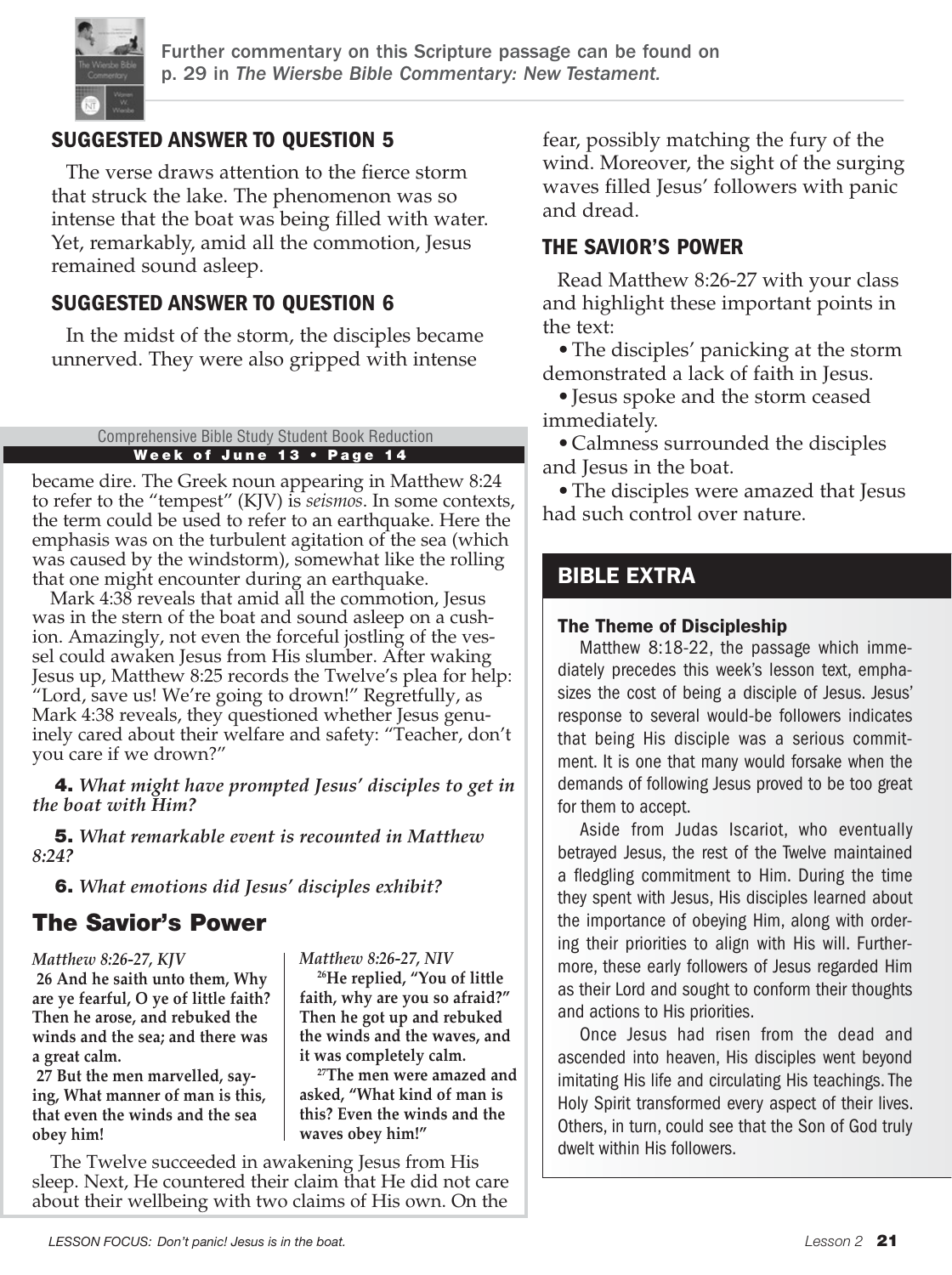

# SUGGESTED ANSWER TO QUESTION 5

The verse draws attention to the fierce storm that struck the lake. The phenomenon was so intense that the boat was being filled with water. Yet, remarkably, amid all the commotion, Jesus remained sound asleep.

# SUGGESTED ANSWER TO QUESTION 6

In the midst of the storm, the disciples became unnerved. They were also gripped with intense

#### Week of June 13 • Page 14 Comprehensive Bible Study Student Book Reduction

became dire. The Greek noun appearing in Matthew 8:24 to refer to the "tempest" (KJV) is *seismos*. In some contexts, the term could be used to refer to an earthquake. Here the emphasis was on the turbulent agitation of the sea (which was caused by the windstorm), somewhat like the rolling that one might encounter during an earthquake.

Mark 4:38 reveals that amid all the commotion, Jesus was in the stern of the boat and sound asleep on a cushion. Amazingly, not even the forceful jostling of the vessel could awaken Jesus from His slumber. After waking Jesus up, Matthew 8:25 records the Twelve's plea for help: "Lord, save us! We're going to drown!" Regretfully, as Mark 4:38 reveals, they questioned whether Jesus genuinely cared about their welfare and safety: "Teacher, don't you care if we drown?"

4. *What might have prompted Jesus' disciples to get in the boat with Him?*

5. *What remarkable event is recounted in Matthew 8:24?*

6. *What emotions did Jesus' disciples exhibit?*

# The Savior's Power

#### *Matthew 8:26-27, KJV*

**26 And he saith unto them, Why are ye fearful, O ye of little faith? Then he arose, and rebuked the winds and the sea; and there was a great calm.**

**27 But the men marvelled, saying, What manner of man is this, that even the winds and the sea obey him!**

*Matthew 8:26-27, NIV*  **26He replied, "You of little faith, why are you so afraid?" Then he got up and rebuked the winds and the waves, and it was completely calm.**

 **27The men were amazed and asked, "What kind of man is this? Even the winds and the waves obey him!"**

The Twelve succeeded in awakening Jesus from His sleep. Next, He countered their claim that He did not care about their wellbeing with two claims of His own. On the

fear, possibly matching the fury of the wind. Moreover, the sight of the surging waves filled Jesus' followers with panic and dread.

### THE SAVIOR'S POWER

Read Matthew 8:26-27 with your class and highlight these important points in the text:

•The disciples' panicking at the storm demonstrated a lack of faith in Jesus.

•Jesus spoke and the storm ceased immediately.

•Calmness surrounded the disciples and Jesus in the boat.

• The disciples were amazed that Jesus had such control over nature.

# **BIBLE EXTRA**

#### The Theme of Discipleship

Matthew 8:18-22, the passage which immediately precedes this week's lesson text, emphasizes the cost of being a disciple of Jesus. Jesus' response to several would-be followers indicates that being His disciple was a serious commitment. It is one that many would forsake when the demands of following Jesus proved to be too great for them to accept.

Aside from Judas Iscariot, who eventually betrayed Jesus, the rest of the Twelve maintained a fledgling commitment to Him. During the time they spent with Jesus, His disciples learned about the importance of obeying Him, along with ordering their priorities to align with His will. Furthermore, these early followers of Jesus regarded Him as their Lord and sought to conform their thoughts and actions to His priorities.

Once Jesus had risen from the dead and ascended into heaven, His disciples went beyond imitating His life and circulating His teachings. The Holy Spirit transformed every aspect of their lives. Others, in turn, could see that the Son of God truly dwelt within His followers.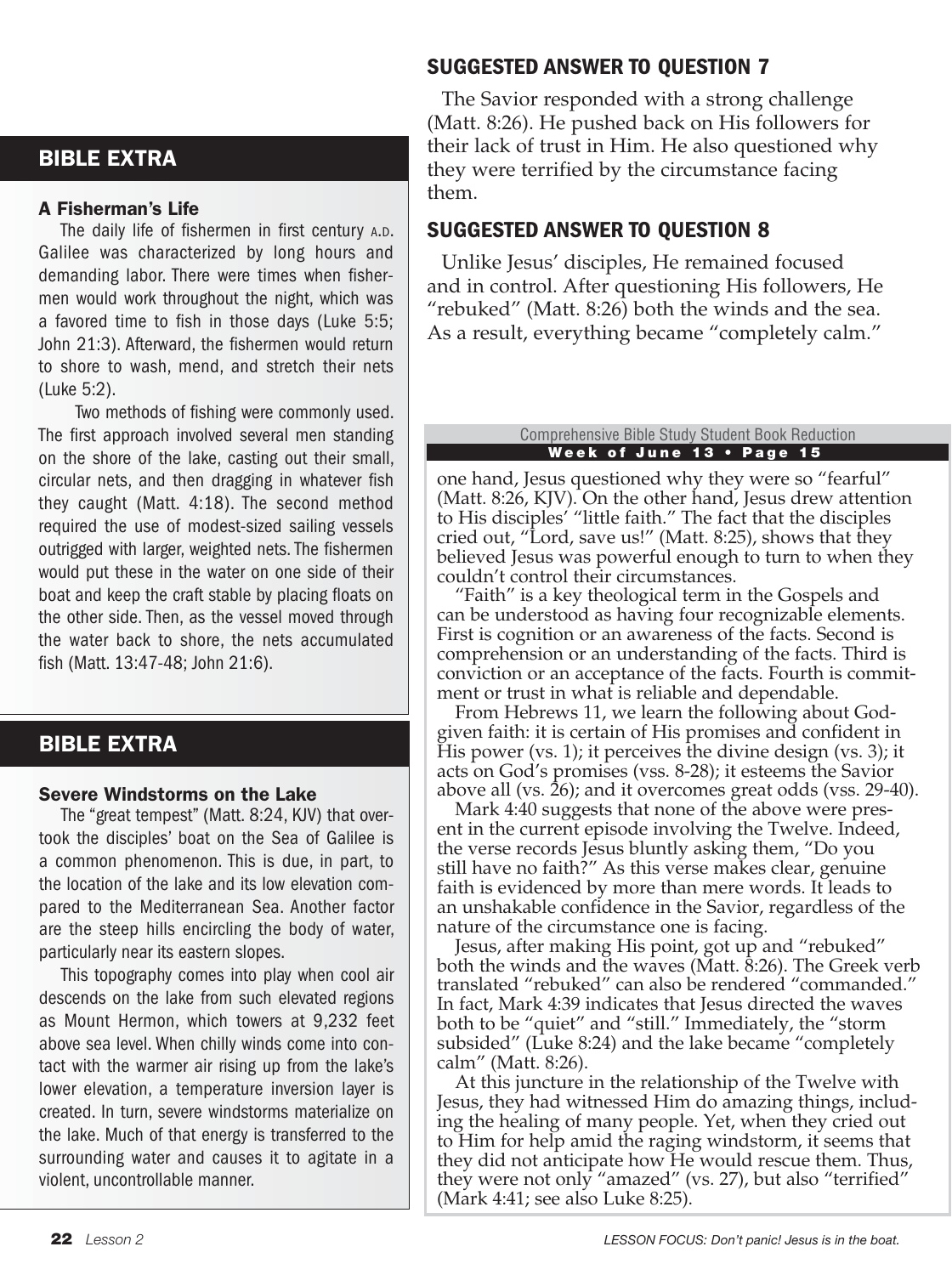# BIBLE EXTRA

#### A Fisherman's Life

The daily life of fishermen in first century A.D. Galilee was characterized by long hours and demanding labor. There were times when fishermen would work throughout the night, which was a favored time to fish in those days (Luke 5:5; John 21:3). Afterward, the fishermen would return to shore to wash, mend, and stretch their nets (Luke 5:2).

 Two methods of fishing were commonly used. The first approach involved several men standing on the shore of the lake, casting out their small, circular nets, and then dragging in whatever fish they caught (Matt. 4:18). The second method required the use of modest-sized sailing vessels outrigged with larger, weighted nets. The fishermen would put these in the water on one side of their boat and keep the craft stable by placing floats on the other side. Then, as the vessel moved through the water back to shore, the nets accumulated fish (Matt. 13:47-48; John 21:6).

# BIBLE EXTRA

#### Severe Windstorms on the Lake

The "great tempest" (Matt. 8:24, KJV) that overtook the disciples' boat on the Sea of Galilee is a common phenomenon. This is due, in part, to the location of the lake and its low elevation compared to the Mediterranean Sea. Another factor are the steep hills encircling the body of water, particularly near its eastern slopes.

This topography comes into play when cool air descends on the lake from such elevated regions as Mount Hermon, which towers at 9,232 feet above sea level. When chilly winds come into contact with the warmer air rising up from the lake's lower elevation, a temperature inversion layer is created. In turn, severe windstorms materialize on the lake. Much of that energy is transferred to the surrounding water and causes it to agitate in a violent, uncontrollable manner.

# SUGGESTED ANSWER TO QUESTION 7

The Savior responded with a strong challenge (Matt. 8:26). He pushed back on His followers for their lack of trust in Him. He also questioned why they were terrified by the circumstance facing them.

# SUGGESTED ANSWER TO QUESTION 8

Unlike Jesus' disciples, He remained focused and in control. After questioning His followers, He "rebuked" (Matt. 8:26) both the winds and the sea. As a result, everything became "completely calm."

#### Week of June 13 • Page 15 Comprehensive Bible Study Student Book Reduction

one hand, Jesus questioned why they were so "fearful" (Matt. 8:26, KJV). On the other hand, Jesus drew attention to His disciples' "little faith." The fact that the disciples cried out, "Lord, save us!" (Matt. 8:25), shows that they believed Jesus was powerful enough to turn to when they couldn't control their circumstances.

"Faith" is a key theological term in the Gospels and can be understood as having four recognizable elements. First is cognition or an awareness of the facts. Second is comprehension or an understanding of the facts. Third is conviction or an acceptance of the facts. Fourth is commitment or trust in what is reliable and dependable.

From Hebrews 11, we learn the following about Godgiven faith: it is certain of His promises and confident in His power (vs. 1); it perceives the divine design (vs. 3); it acts on God's promises (vss. 8-28); it esteems the Savior above all (vs.  $26$ ); and it overcomes great odds (vss. 29-40).

Mark 4:40 suggests that none of the above were present in the current episode involving the Twelve. Indeed, the verse records Jesus bluntly asking them, "Do you still have no faith?" As this verse makes clear, genuine faith is evidenced by more than mere words. It leads to an unshakable confidence in the Savior, regardless of the nature of the circumstance one is facing.

Jesus, after making His point, got up and "rebuked" both the winds and the waves (Matt.  $\bar{\delta}$ :26). The Greek verb translated "rebuked" can also be rendered "commanded." In fact, Mark 4:39 indicates that Jesus directed the waves both to be "quiet" and "still." Immediately, the "storm subsided" (Luke 8:24) and the lake became "completely calm" (Matt. 8:26).

At this juncture in the relationship of the Twelve with Jesus, they had witnessed Him do amazing things, including the healing of many people. Yet, when they cried out to Him for help amid the raging windstorm, it seems that they did not anticipate how He would rescue them. Thus, they were not only "amazed" (vs. 27), but also "terrified" (Mark 4:41; see also Luke 8:25).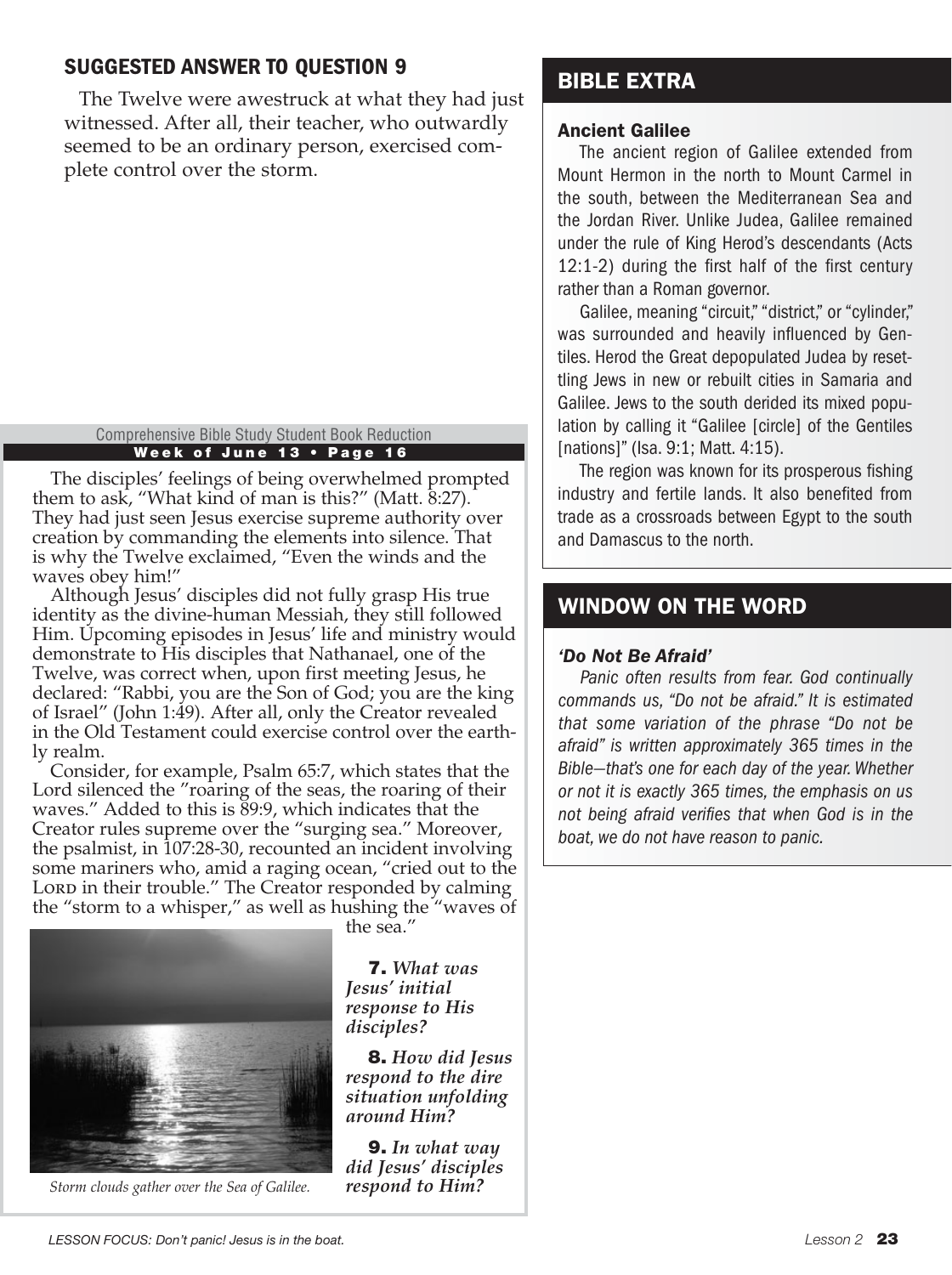# SUGGESTED ANSWER TO QUESTION 9

The Twelve were awestruck at what they had just witnessed. After all, their teacher, who outwardly seemed to be an ordinary person, exercised complete control over the storm.

Week of June 13 • Page 16 Comprehensive Bible Study Student Book Reduction

The disciples' feelings of being overwhelmed prompted them to ask, "What kind of man is this?" (Matt. 8:27). They had just seen Jesus exercise supreme authority over creation by commanding the elements into silence. That is why the Twelve exclaimed, "Even the winds and the waves obey him!"

Although Jesus' disciples did not fully grasp His true identity as the divine-human Messiah, they still followed Him. Upcoming episodes in Jesus' life and ministry would demonstrate to His disciples that Nathanael, one of the Twelve, was correct when, upon first meeting Jesus, he declared: "Rabbi, you are the Son of God; you are the king of Israel" (John 1:49). After all, only the Creator revealed in the Old Testament could exercise control over the earthly realm.

Consider, for example, Psalm 65:7, which states that the Lord silenced the "roaring of the seas, the roaring of their waves." Added to this is 89:9, which indicates that the Creator rules supreme over the "surging sea." Moreover, the psalmist, in 107:28-30, recounted an incident involving some mariners who, amid a raging ocean, "cried out to the Lord in their trouble." The Creator responded by calming the "storm to a whisper," as well as hushing the "waves of



*Storm clouds gather over the Sea of Galilee. respond to Him?*

the sea."

7. *What was Jesus' initial response to His disciples?*

8. *How did Jesus respond to the dire situation unfolding around Him?*

9. *In what way did Jesus' disciples* 

# BIBLE EXTRA

#### Ancient Galilee

The ancient region of Galilee extended from Mount Hermon in the north to Mount Carmel in the south, between the Mediterranean Sea and the Jordan River. Unlike Judea, Galilee remained under the rule of King Herod's descendants (Acts 12:1-2) during the first half of the first century rather than a Roman governor.

Galilee, meaning "circuit," "district," or "cylinder," was surrounded and heavily influenced by Gentiles. Herod the Great depopulated Judea by resettling Jews in new or rebuilt cities in Samaria and Galilee. Jews to the south derided its mixed population by calling it "Galilee [circle] of the Gentiles [nations]" (Isa. 9:1; Matt. 4:15).

The region was known for its prosperous fishing industry and fertile lands. It also benefited from trade as a crossroads between Egypt to the south and Damascus to the north.

# WINDOW ON THE WORD

#### *'Do Not Be Afraid'*

*Panic often results from fear. God continually commands us, "Do not be afraid." It is estimated that some variation of the phrase "Do not be afraid" is written approximately 365 times in the Bible—that's one for each day of the year. Whether or not it is exactly 365 times, the emphasis on us not being afraid verifies that when God is in the boat, we do not have reason to panic.*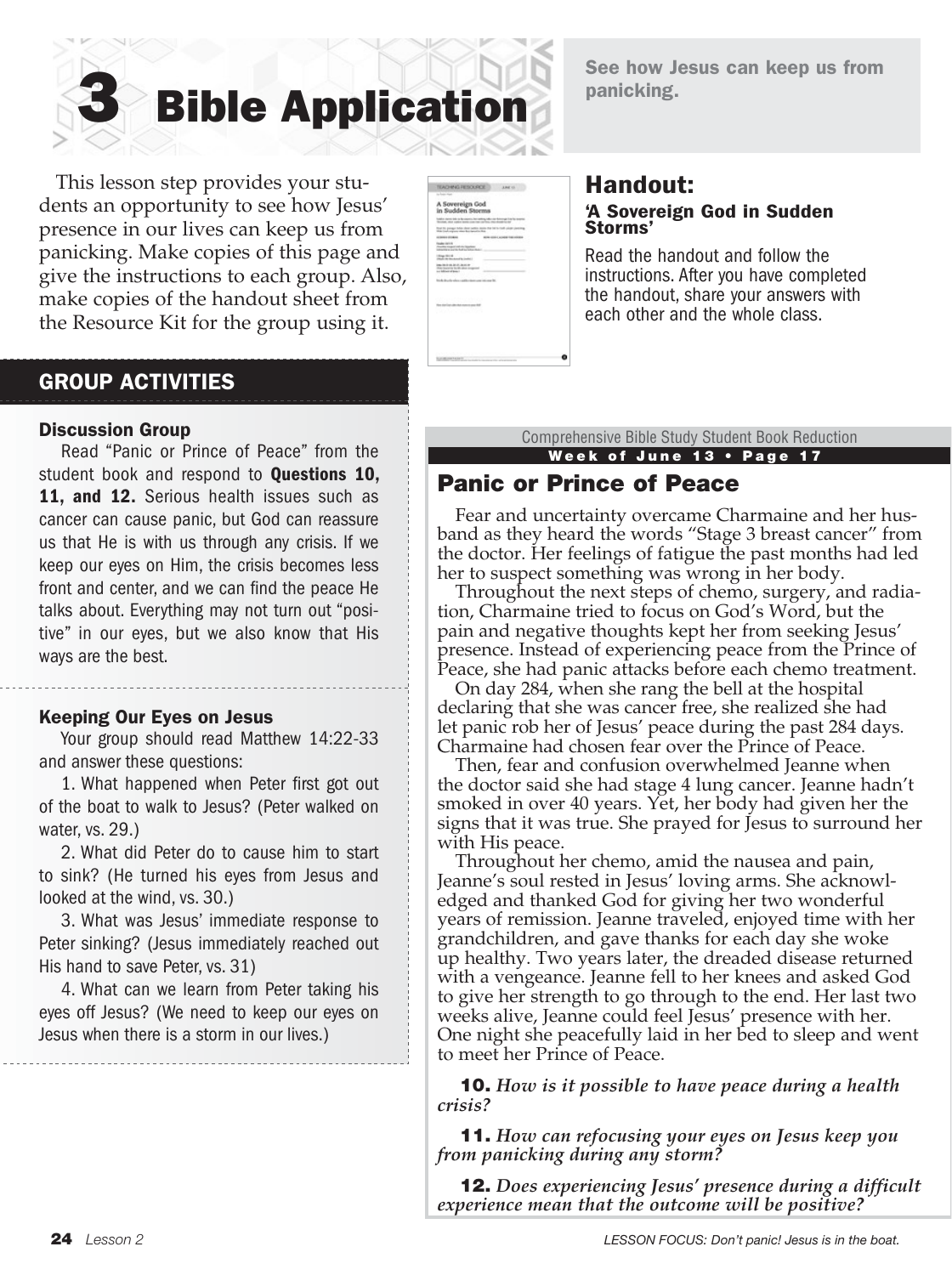

See how Jesus can keep us from panicking.

 This lesson step provides your students an opportunity to see how Jesus' presence in our lives can keep us from panicking. Make copies of this page and give the instructions to each group. Also, make copies of the handout sheet from the Resource Kit for the group using it.

| TEACHING FESCURER                                                                                                      | A MART VOL                                                            |
|------------------------------------------------------------------------------------------------------------------------|-----------------------------------------------------------------------|
| and the state                                                                                                          |                                                                       |
| A Sovereign God<br>in Sudden Storms                                                                                    |                                                                       |
| Northern, allow support service constraints confidently that constraints that                                          | leader move too to be counter, but notice when no know go too to some |
| Boat By panger fully short nation more that he're hall using class<br>With Start organization floor instead to fill at |                                                                       |
| ALGONO A GEORGIA                                                                                                       | A CATARINA TAN HOOR                                                   |
| <b>Faster Int's A</b><br><b><i><u>Analysis</u></i></b><br><b>ARANGER AVENUE DE LA BALLANCIA</b>                        |                                                                       |
| <b>CRAN DISTRICTS</b>                                                                                                  |                                                                       |
| <b>INVESTIGATION</b><br>that housing built able com-<br>a children d'Anie                                              | m.                                                                    |
| ٠                                                                                                                      |                                                                       |
|                                                                                                                        |                                                                       |
| 32523359                                                                                                               |                                                                       |
| Were directing to play that chance is cared first.                                                                     |                                                                       |
| <b>CONTRACTOR</b>                                                                                                      |                                                                       |
|                                                                                                                        |                                                                       |
|                                                                                                                        |                                                                       |
|                                                                                                                        |                                                                       |
|                                                                                                                        |                                                                       |
|                                                                                                                        |                                                                       |
| 1 MELINO TA SATT                                                                                                       |                                                                       |

#### Handout: 'A Sovereign God in Sudden Storms'

Read the handout and follow the instructions. After you have completed the handout, share your answers with each other and the whole class.

# GROUP ACTIVITIES

#### Discussion Group

Read "Panic or Prince of Peace" from the student book and respond to **Questions 10,** 11. and 12. Serious health issues such as cancer can cause panic, but God can reassure us that He is with us through any crisis. If we keep our eyes on Him, the crisis becomes less front and center, and we can find the peace He talks about. Everything may not turn out "positive" in our eyes, but we also know that His ways are the best.

#### Keeping Our Eyes on Jesus

Your group should read Matthew 14:22-33 and answer these questions:

1. What happened when Peter first got out of the boat to walk to Jesus? (Peter walked on water, vs. 29.)

2. What did Peter do to cause him to start to sink? (He turned his eyes from Jesus and looked at the wind, vs. 30.)

3. What was Jesus' immediate response to Peter sinking? (Jesus immediately reached out His hand to save Peter, vs. 31)

4. What can we learn from Peter taking his eyes off Jesus? (We need to keep our eyes on Jesus when there is a storm in our lives.)

Week of June 13 • Page 17 Comprehensive Bible Study Student Book Reduction

# Panic or Prince of Peace

Fear and uncertainty overcame Charmaine and her husband as they heard the words "Stage 3 breast cancer" from the doctor. Her feelings of fatigue the past months had led her to suspect something was wrong in her body.

Throughout the next steps of chemo, surgery, and radiation, Charmaine tried to focus on God's Word, but the pain and negative thoughts kept her from seeking Jesus' presence. Instead of experiencing peace from the Prince of Peace, she had panic attacks before each chemo treatment.

On day 284, when she rang the bell at the hospital declaring that she was cancer free, she realized she had let panic rob her of Jesus' peace during the past 284 days. Charmaine had chosen fear over the Prince of Peace.

Then, fear and confusion overwhelmed Jeanne when the doctor said she had stage 4 lung cancer. Jeanne hadn't smoked in over 40 years. Yet, her body had given her the signs that it was true. She prayed for Jesus to surround her with His peace.

Throughout her chemo, amid the nausea and pain, Jeanne's soul rested in Jesus' loving arms. She acknowledged and thanked God for giving her two wonderful years of remission. Jeanne traveled, enjoyed time with her grandchildren, and gave thanks for each day she woke up healthy. Two years later, the dreaded disease returned with a vengeance. Jeanne fell to her knees and asked God to give her strength to go through to the end. Her last two weeks alive, Jeanne could feel Jesus' presence with her. One night she peacefully laid in her bed to sleep and went to meet her Prince of Peace.

10. *How is it possible to have peace during a health crisis?*

11. *How can refocusing your eyes on Jesus keep you from panicking during any storm?*

12. *Does experiencing Jesus' presence during a difficult experience mean that the outcome will be positive?*